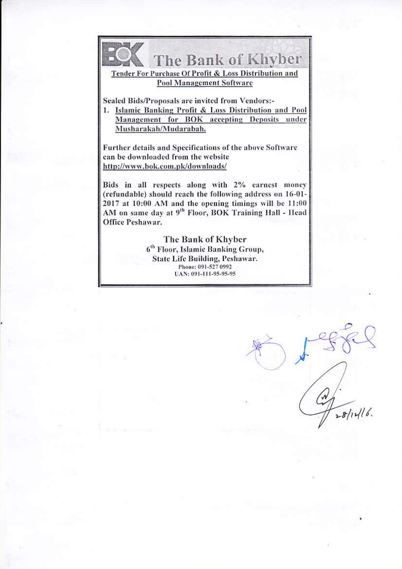

The Bank of Khyber

Tender For Purchase Of Profit & Loss Distribution and **Pool Management Software** 

Sealed Bids/Proposals are invited from Vendors:-

1. Islamic Banking Profit & Loss Distribution and Pool Management for BOK accepting Deposits under Musharakah/Mudarabah.

Further details and Specifications of the above Software can be downloaded from the website http://www.bok.com.pk/downloads/

Bids in all respects along with 2% carnest money (refundable) should reach the following address on 16-01-2017 at 10:00 AM and the opening timings will be 11:00 AM on same day at 9<sup>th</sup> Floor, BOK Training Hall - Head Office Peshawar.

> The Bank of Khyber 6<sup>th</sup> Floor, Islamic Banking Group, **State Life Building, Peshawar.** Phone: 091-527 0992 UAN: 091-111-95-95-95

 $28/14/16$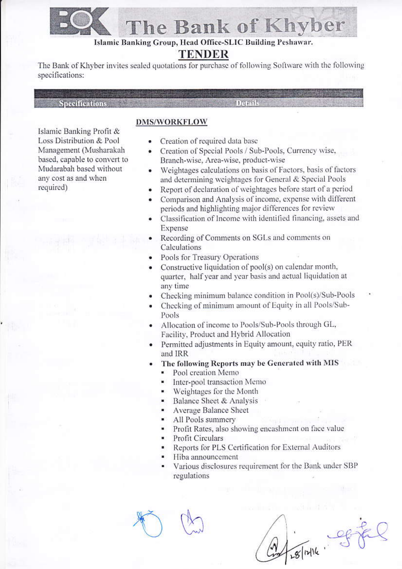

# The Bank of Khyber

Islamic Banking Group, Head Office-SLIC Building Peshawar.

# **TENDER**

The Bank of Khyber invites sealed quotations for purchase of following Software with the following specifications:

**Specifications** 

Islamic Banking Profit & Loss Distribution & Pool Management (Musharakah based, capable to convert to Mudarabah based without any cost as and when required)

### **DMS/WORKFLOW**

- Creation of required data base
- Creation of Special Pools / Sub-Pools, Currency wise, Branch-wise, Area-wise, product-wise

Details

- Weightages calculations on basis of Factors, basis of factors  $\bullet$ and determining weightages for General & Special Pools
- Report of declaration of weightages before start of a period
- Comparison and Analysis of income, expense with different periods and highlighting major differences for review
- Classification of Income with identified financing, assets and Expense
- Recording of Comments on SGLs and comments on Calculations
- Pools for Treasury Operations
- Constructive liquidation of pool(s) on calendar month, quarter, half year and year basis and actual liquidation at any time
- Checking minimum balance condition in Pool(s)/Sub-Pools
- Checking of minimum amount of Equity in all Pools/Sub-Pools
- Allocation of income to Pools/Sub-Pools through GL, Facility, Product and Hybrid Allocation
- Permitted adjustments in Equity amount, equity ratio, PER and IRR
- The following Reports may be Generated with MIS
	- Pool creation Memo
	- Inter-pool transaction Memo
	- Weightages for the Month
	- Balance Sheet & Analysis
	- Average Balance Sheet
	- All Pools summery
	- Profit Rates, also showing encashment on face value
	- Profit Circulars
	- Reports for PLS Certification for External Auditors
	- Hiba announcement
	- Various disclosures requirement for the Bank under SBP regulations

FREAM CHEL